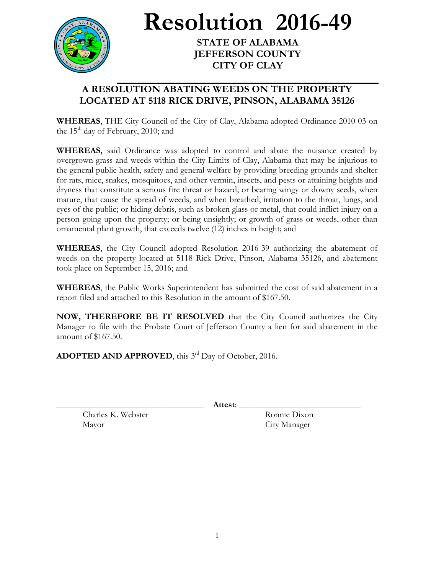

**Resolution 2016-49**

**STATE OF ALABAMA JEFFERSON COUNTY CITY OF CLAY**

## **A RESOLUTION ABATING WEEDS ON THE PROPERTY LOCATED AT 5118 RICK DRIVE, PINSON, ALABAMA 35126**

**WHEREAS**, THE City Council of the City of Clay, Alabama adopted Ordinance 2010-03 on the  $15<sup>th</sup>$  day of February, 2010; and

**WHEREAS,** said Ordinance was adopted to control and abate the nuisance created by overgrown grass and weeds within the City Limits of Clay, Alabama that may be injurious to the general public health, safety and general welfare by providing breeding grounds and shelter for rats, mice, snakes, mosquitoes, and other vermin, insects, and pests or attaining heights and dryness that constitute a serious fire threat or hazard; or bearing wingy or downy seeds, when mature, that cause the spread of weeds, and when breathed, irritation to the throat, lungs, and eyes of the public; or hiding debris, such as broken glass or metal, that could inflict injury on a person going upon the property; or being unsightly; or growth of grass or weeds, other than ornamental plant growth, that exceeds twelve (12) inches in height; and

**WHEREAS**, the City Council adopted Resolution 2016-39 authorizing the abatement of weeds on the property located at 5118 Rick Drive, Pinson, Alabama 35126, and abatement took place on September 15, 2016; and

**WHEREAS**, the Public Works Superintendent has submitted the cost of said abatement in a report filed and attached to this Resolution in the amount of \$167.50.

**NOW, THEREFORE BE IT RESOLVED** that the City Council authorizes the City Manager to file with the Probate Court of Jefferson County a lien for said abatement in the amount of \$167.50.

ADOPTED AND APPROVED, this 3<sup>rd</sup> Day of October, 2016.

\_\_\_\_\_\_\_\_\_\_\_\_\_\_\_\_\_\_\_\_\_\_\_\_\_\_\_\_\_\_\_\_\_\_ **Attest**: \_\_\_\_\_\_\_\_\_\_\_\_\_\_\_\_\_\_\_\_\_\_\_\_\_\_\_\_

Charles K. Webster Ronnie Dixon Mayor City Manager